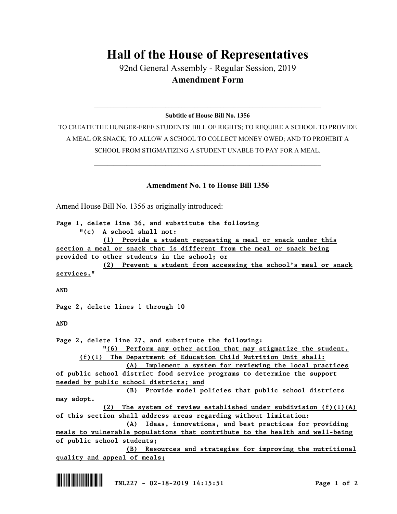## **Hall of the House of Representatives**

92nd General Assembly - Regular Session, 2019 **Amendment Form**

 $\_$  , and the set of the set of the set of the set of the set of the set of the set of the set of the set of the set of the set of the set of the set of the set of the set of the set of the set of the set of the set of th **Subtitle of House Bill No. 1356**

TO CREATE THE HUNGER-FREE STUDENTS' BILL OF RIGHTS; TO REQUIRE A SCHOOL TO PROVIDE A MEAL OR SNACK; TO ALLOW A SCHOOL TO COLLECT MONEY OWED; AND TO PROHIBIT A SCHOOL FROM STIGMATIZING A STUDENT UNABLE TO PAY FOR A MEAL.

 $\_$  , and the set of the set of the set of the set of the set of the set of the set of the set of the set of the set of the set of the set of the set of the set of the set of the set of the set of the set of the set of th

## **Amendment No. 1 to House Bill 1356**

Amend House Bill No. 1356 as originally introduced:

*Page 1, delete line 36, and substitute the following "(c) A school shall not: (1) Provide a student requesting a meal or snack under this section a meal or snack that is different from the meal or snack being provided to other students in the school; or (2) Prevent a student from accessing the school's meal or snack services." AND Page 2, delete lines 1 through 10 AND Page 2, delete line 27, and substitute the following: "(6) Perform any other action that may stigmatize the student. (f)(1) The Department of Education Child Nutrition Unit shall: (A) Implement a system for reviewing the local practices of public school district food service programs to determine the support needed by public school districts; and (B) Provide model policies that public school districts may adopt. (2) The system of review established under subdivision (f)(1)(A) of this section shall address areas regarding without limitation: (A) Ideas, innovations, and best practices for providing meals to vulnerable populations that contribute to the health and well-being of public school students; (B) Resources and strategies for improving the nutritional quality and appeal of meals;*